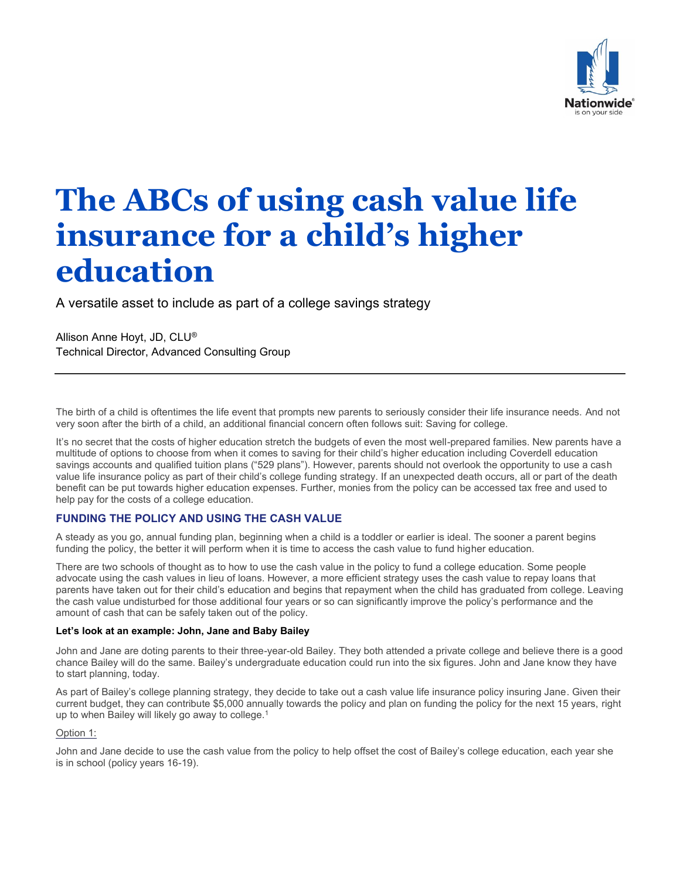

# **The ABCs of using cash value life insurance for a child's higher education**

A versatile asset to include as part of a college savings strategy

Allison Anne Hoyt, JD, CLU® Technical Director, Advanced Consulting Group

The birth of a child is oftentimes the life event that prompts new parents to seriously consider their life insurance needs. And not very soon after the birth of a child, an additional financial concern often follows suit: Saving for college.

It's no secret that the costs of higher education stretch the budgets of even the most well-prepared families. New parents have a multitude of options to choose from when it comes to saving for their child's higher education including Coverdell education savings accounts and qualified tuition plans ("529 plans"). However, parents should not overlook the opportunity to use a cash value life insurance policy as part of their child's college funding strategy. If an unexpected death occurs, all or part of the death benefit can be put towards higher education expenses. Further, monies from the policy can be accessed tax free and used to help pay for the costs of a college education.

## **FUNDING THE POLICY AND USING THE CASH VALUE**

A steady as you go, annual funding plan, beginning when a child is a toddler or earlier is ideal. The sooner a parent begins funding the policy, the better it will perform when it is time to access the cash value to fund higher education.

There are two schools of thought as to how to use the cash value in the policy to fund a college education. Some people advocate using the cash values in lieu of loans. However, a more efficient strategy uses the cash value to repay loans that parents have taken out for their child's education and begins that repayment when the child has graduated from college. Leaving the cash value undisturbed for those additional four years or so can significantly improve the policy's performance and the amount of cash that can be safely taken out of the policy.

#### **Let's look at an example: John, Jane and Baby Bailey**

John and Jane are doting parents to their three-year-old Bailey. They both attended a private college and believe there is a good chance Bailey will do the same. Bailey's undergraduate education could run into the six figures. John and Jane know they have to start planning, today.

As part of Bailey's college planning strategy, they decide to take out a cash value life insurance policy insuring Jane. Given their current budget, they can contribute \$5,000 annually towards the policy and plan on funding the policy for the next 15 years, right up to when Bailey will likely go away to college.<sup>1</sup>

## Option 1:

John and Jane decide to use the cash value from the policy to help offset the cost of Bailey's college education, each year she is in school (policy years 16-19).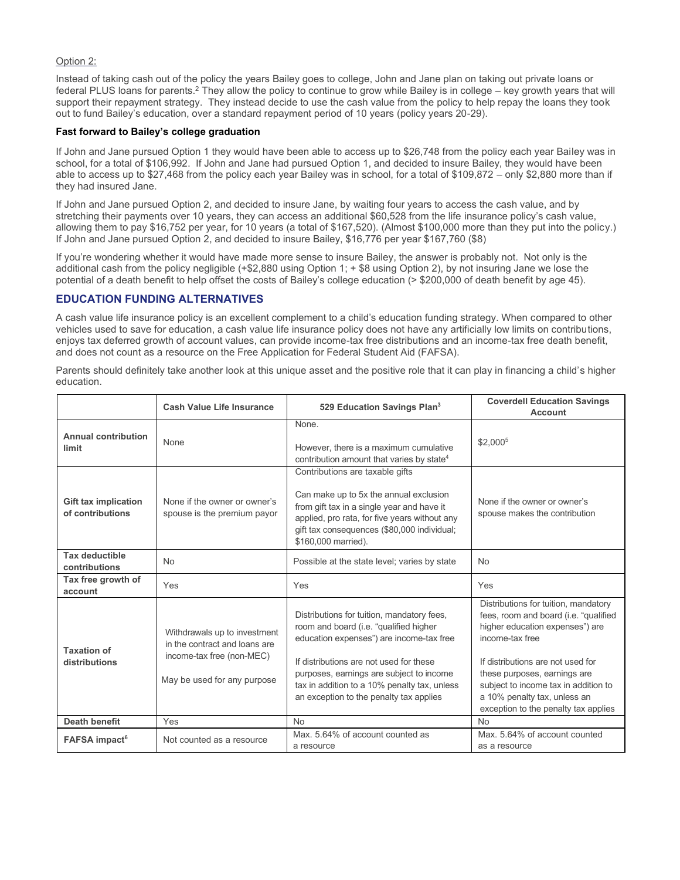#### Option 2:

Instead of taking cash out of the policy the years Bailey goes to college, John and Jane plan on taking out private loans or federal PLUS loans for parents.<sup>2</sup> They allow the policy to continue to grow while Bailey is in college – key growth years that will support their repayment strategy. They instead decide to use the cash value from the policy to help repay the loans they took out to fund Bailey's education, over a standard repayment period of 10 years (policy years 20-29).

### **Fast forward to Bailey's college graduation**

If John and Jane pursued Option 1 they would have been able to access up to \$26,748 from the policy each year Bailey was in school, for a total of \$106,992. If John and Jane had pursued Option 1, and decided to insure Bailey, they would have been able to access up to \$27,468 from the policy each year Bailey was in school, for a total of \$109,872 – only \$2,880 more than if they had insured Jane.

If John and Jane pursued Option 2, and decided to insure Jane, by waiting four years to access the cash value, and by stretching their payments over 10 years, they can access an additional \$60,528 from the life insurance policy's cash value, allowing them to pay \$16,752 per year, for 10 years (a total of \$167,520). (Almost \$100,000 more than they put into the policy.) If John and Jane pursued Option 2, and decided to insure Bailey, \$16,776 per year \$167,760 (\$8)

If you're wondering whether it would have made more sense to insure Bailey, the answer is probably not. Not only is the additional cash from the policy negligible (+\$2,880 using Option 1; + \$8 using Option 2), by not insuring Jane we lose the potential of a death benefit to help offset the costs of Bailey's college education (> \$200,000 of death benefit by age 45).

## **EDUCATION FUNDING ALTERNATIVES**

A cash value life insurance policy is an excellent complement to a child's education funding strategy. When compared to other vehicles used to save for education, a cash value life insurance policy does not have any artificially low limits on contributions, enjoys tax deferred growth of account values, can provide income-tax free distributions and an income-tax free death benefit, and does not count as a resource on the Free Application for Federal Student Aid (FAFSA).

Parents should definitely take another look at this unique asset and the positive role that it can play in financing a child's higher education.

|                                                 | <b>Cash Value Life Insurance</b>                                                                                          | 529 Education Savings Plan <sup>3</sup>                                                                                                                                                                                                                                                                            | <b>Coverdell Education Savings</b><br><b>Account</b>                                                                                                                                                                                                                                                                     |
|-------------------------------------------------|---------------------------------------------------------------------------------------------------------------------------|--------------------------------------------------------------------------------------------------------------------------------------------------------------------------------------------------------------------------------------------------------------------------------------------------------------------|--------------------------------------------------------------------------------------------------------------------------------------------------------------------------------------------------------------------------------------------------------------------------------------------------------------------------|
| <b>Annual contribution</b><br>limit             | None                                                                                                                      | None.<br>However, there is a maximum cumulative<br>contribution amount that varies by state <sup>4</sup>                                                                                                                                                                                                           | \$2,000 <sup>5</sup>                                                                                                                                                                                                                                                                                                     |
| <b>Gift tax implication</b><br>of contributions | None if the owner or owner's<br>spouse is the premium payor                                                               | Contributions are taxable gifts<br>Can make up to 5x the annual exclusion<br>from gift tax in a single year and have it<br>applied, pro rata, for five years without any<br>gift tax consequences (\$80,000 individual;<br>\$160,000 married).                                                                     | None if the owner or owner's<br>spouse makes the contribution                                                                                                                                                                                                                                                            |
| <b>Tax deductible</b><br>contributions          | <b>No</b>                                                                                                                 | Possible at the state level; varies by state                                                                                                                                                                                                                                                                       | <b>No</b>                                                                                                                                                                                                                                                                                                                |
| Tax free growth of<br>account                   | Yes                                                                                                                       | Yes                                                                                                                                                                                                                                                                                                                | Yes                                                                                                                                                                                                                                                                                                                      |
| <b>Taxation of</b><br>distributions             | Withdrawals up to investment<br>in the contract and loans are<br>income-tax free (non-MEC)<br>May be used for any purpose | Distributions for tuition, mandatory fees,<br>room and board (i.e. "qualified higher<br>education expenses") are income-tax free<br>If distributions are not used for these<br>purposes, earnings are subject to income<br>tax in addition to a 10% penalty tax, unless<br>an exception to the penalty tax applies | Distributions for tuition, mandatory<br>fees, room and board (i.e. "qualified<br>higher education expenses") are<br>income-tax free<br>If distributions are not used for<br>these purposes, earnings are<br>subject to income tax in addition to<br>a 10% penalty tax, unless an<br>exception to the penalty tax applies |
| Death benefit                                   | Yes                                                                                                                       | <b>No</b>                                                                                                                                                                                                                                                                                                          | <b>No</b>                                                                                                                                                                                                                                                                                                                |
| <b>FAFSA</b> impact <sup>6</sup>                | Not counted as a resource                                                                                                 | Max, 5.64% of account counted as<br>a resource                                                                                                                                                                                                                                                                     | Max, 5.64% of account counted<br>as a resource                                                                                                                                                                                                                                                                           |